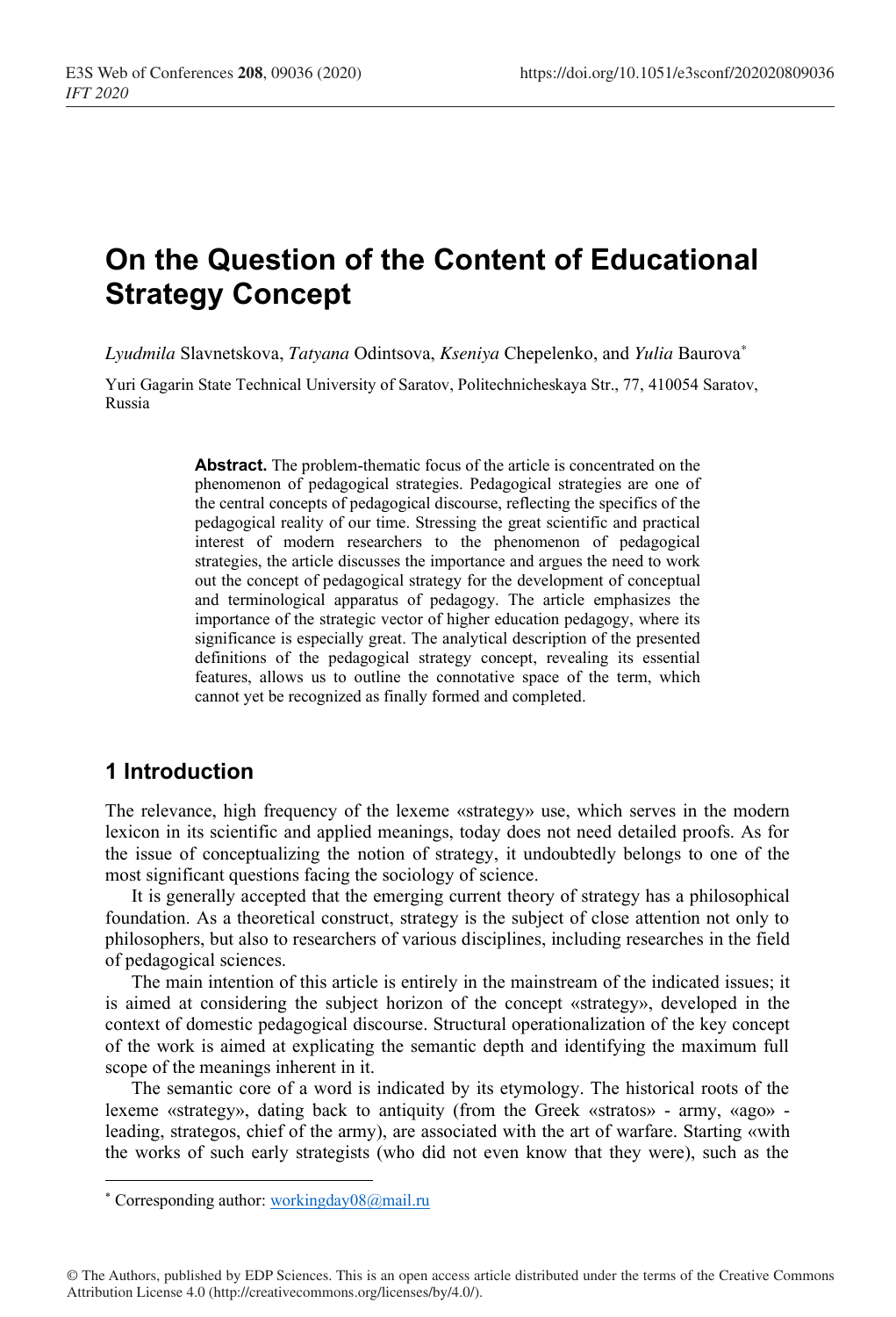# **On the Question of the Content of Educational Strategy Concept**

*Lyudmila* Slavnetskova, *Tatyana* Odintsova, *Kseniya* Chepelenko, and *Yulia* Baurova*\**

Yuri Gagarin State Technical University of Saratov, Politechnicheskaya Str., 77, 410054 Saratov, Russia

> **Abstract.** The problem-thematic focus of the article is concentrated on the phenomenon of pedagogical strategies. Pedagogical strategies are one of the central concepts of pedagogical discourse, reflecting the specifics of the pedagogical reality of our time. Stressing the great scientific and practical interest of modern researchers to the phenomenon of pedagogical strategies, the article discusses the importance and argues the need to work out the concept of pedagogical strategy for the development of conceptual and terminological apparatus of pedagogy. The article emphasizes the importance of the strategic vector of higher education pedagogy, where its significance is especially great. The analytical description of the presented definitions of the pedagogical strategy concept, revealing its essential features, allows us to outline the connotative space of the term, which cannot yet be recognized as finally formed and completed.

## **1 Introduction**

The relevance, high frequency of the lexeme «strategy» use, which serves in the modern lexicon in its scientific and applied meanings, today does not need detailed proofs. As for the issue of conceptualizing the notion of strategy, it undoubtedly belongs to one of the most significant questions facing the sociology of science.

It is generally accepted that the emerging current theory of strategy has a philosophical foundation. As a theoretical construct, strategy is the subject of close attention not only to philosophers, but also to researchers of various disciplines, including researches in the field of pedagogical sciences.

The main intention of this article is entirely in the mainstream of the indicated issues; it is aimed at considering the subject horizon of the concept «strategy», developed in the context of domestic pedagogical discourse. Structural operationalization of the key concept of the work is aimed at explicating the semantic depth and identifying the maximum full scope of the meanings inherent in it.

The semantic core of a word is indicated by its etymology. The historical roots of the lexeme «strategy», dating back to antiquity (from the Greek «stratos» - army, «ago» leading, strategos, chief of the army), are associated with the art of warfare. Starting «with the works of such early strategists (who did not even know that they were), such as the

<sup>\*</sup> Corresponding author: workingday08@mail.ru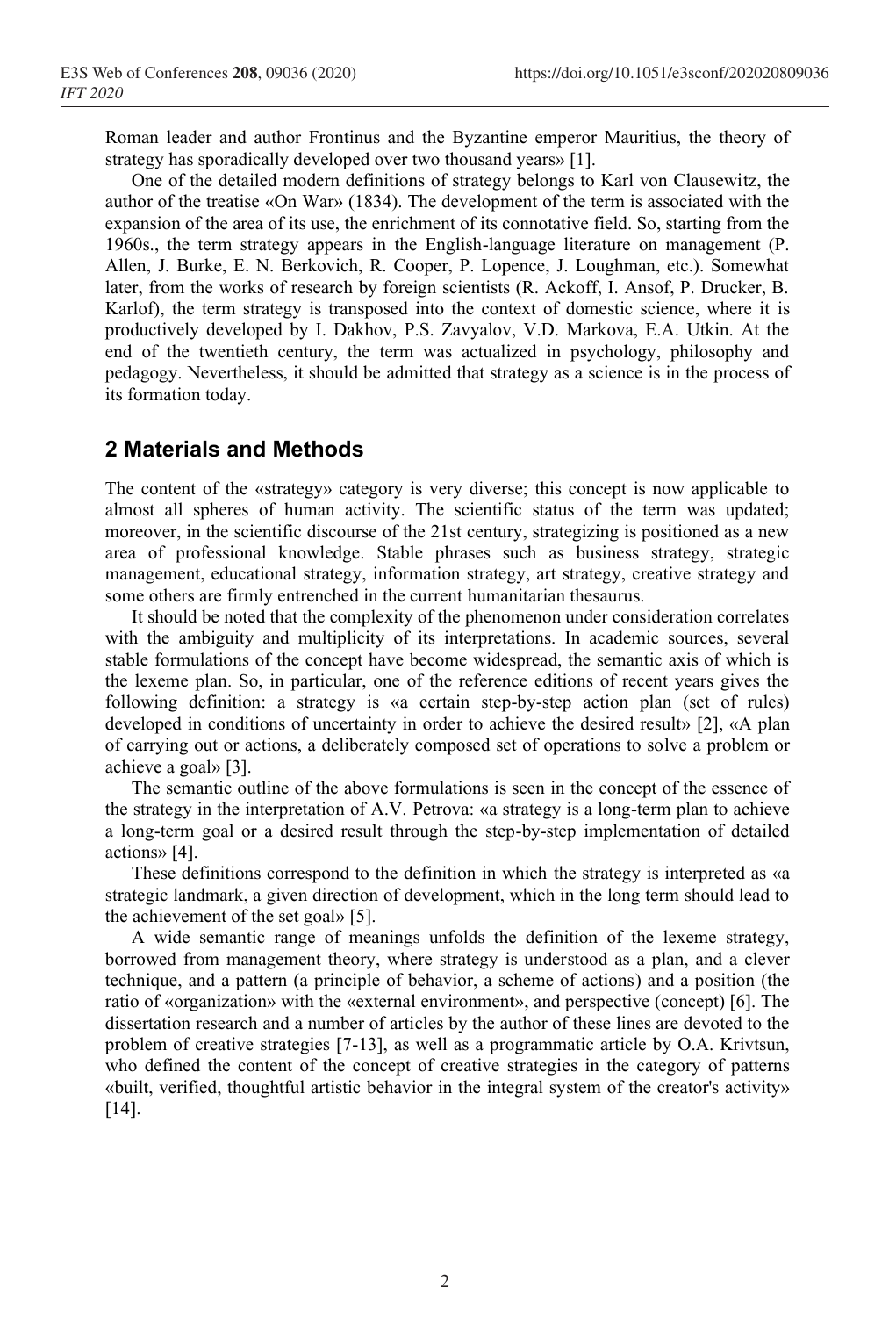Roman leader and author Frontinus and the Byzantine emperor Mauritius, the theory of strategy has sporadically developed over two thousand years» [1].

One of the detailed modern definitions of strategy belongs to Karl von Clausewitz, the author of the treatise «On War» (1834). The development of the term is associated with the expansion of the area of its use, the enrichment of its connotative field. So, starting from the 1960s., the term strategy appears in the English-language literature on management (P. Allen, J. Burke, E. N. Berkovich, R. Cooper, P. Lopence, J. Loughman, etc.). Somewhat later, from the works of research by foreign scientists (R. Ackoff, I. Ansof, P. Drucker, B. Karlof), the term strategy is transposed into the context of domestic science, where it is productively developed by I. Dakhov, P.S. Zavyalov, V.D. Markova, E.A. Utkin. At the end of the twentieth century, the term was actualized in psychology, philosophy and pedagogy. Nevertheless, it should be admitted that strategy as a science is in the process of its formation today.

# **2 Materials and Methods**

The content of the «strategy» category is very diverse; this concept is now applicable to almost all spheres of human activity. The scientific status of the term was updated; moreover, in the scientific discourse of the 21st century, strategizing is positioned as a new area of professional knowledge. Stable phrases such as business strategy, strategic management, educational strategy, information strategy, art strategy, creative strategy and some others are firmly entrenched in the current humanitarian thesaurus.

It should be noted that the complexity of the phenomenon under consideration correlates with the ambiguity and multiplicity of its interpretations. In academic sources, several stable formulations of the concept have become widespread, the semantic axis of which is the lexeme plan. So, in particular, one of the reference editions of recent years gives the following definition: a strategy is «a certain step-by-step action plan (set of rules) developed in conditions of uncertainty in order to achieve the desired result» [2], «A plan of carrying out or actions, a deliberately composed set of operations to solve a problem or achieve a goal» [3].

The semantic outline of the above formulations is seen in the concept of the essence of the strategy in the interpretation of A.V. Petrova: «a strategy is a long-term plan to achieve a long-term goal or a desired result through the step-by-step implementation of detailed actions» [4].

These definitions correspond to the definition in which the strategy is interpreted as «a strategic landmark, a given direction of development, which in the long term should lead to the achievement of the set goal» [5].

A wide semantic range of meanings unfolds the definition of the lexeme strategy, borrowed from management theory, where strategy is understood as a plan, and a clever technique, and a pattern (a principle of behavior, a scheme of actions) and a position (the ratio of «organization» with the «external environment», and perspective (concept) [6]. The dissertation research and a number of articles by the author of these lines are devoted to the problem of creative strategies [7-13], as well as a programmatic article by O.A. Krivtsun, who defined the content of the concept of creative strategies in the category of patterns «built, verified, thoughtful artistic behavior in the integral system of the creator's activity» [14].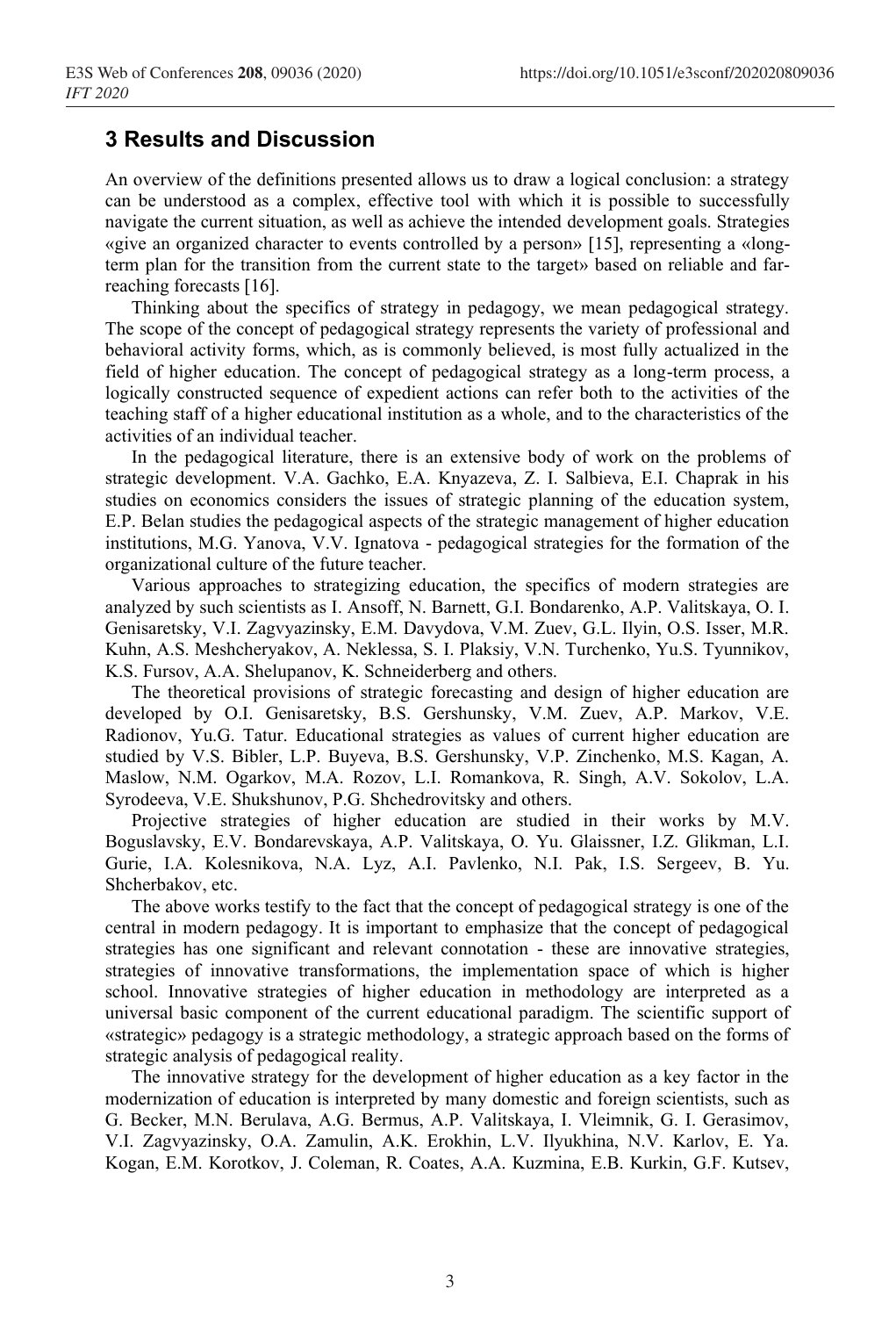## **3 Results and Discussion**

An overview of the definitions presented allows us to draw a logical conclusion: a strategy can be understood as a complex, effective tool with which it is possible to successfully navigate the current situation, as well as achieve the intended development goals. Strategies «give an organized character to events controlled by a person» [15], representing a «longterm plan for the transition from the current state to the target» based on reliable and farreaching forecasts [16].

Thinking about the specifics of strategy in pedagogy, we mean pedagogical strategy. The scope of the concept of pedagogical strategy represents the variety of professional and behavioral activity forms, which, as is commonly believed, is most fully actualized in the field of higher education. The concept of pedagogical strategy as a long-term process, a logically constructed sequence of expedient actions can refer both to the activities of the teaching staff of a higher educational institution as a whole, and to the characteristics of the activities of an individual teacher.

In the pedagogical literature, there is an extensive body of work on the problems of strategic development. V.A. Gachko, E.A. Knyazeva, Z. I. Salbieva, E.I. Chaprak in his studies on economics considers the issues of strategic planning of the education system, E.P. Belan studies the pedagogical aspects of the strategic management of higher education institutions, M.G. Yanova, V.V. Ignatova - pedagogical strategies for the formation of the organizational culture of the future teacher.

Various approaches to strategizing education, the specifics of modern strategies are analyzed by such scientists as I. Ansoff, N. Barnett, G.I. Bondarenko, A.P. Valitskaya, O. I. Genisaretsky, V.I. Zagvyazinsky, E.M. Davydova, V.M. Zuev, G.L. Ilyin, O.S. Isser, M.R. Kuhn, A.S. Meshcheryakov, A. Neklessa, S. I. Plaksiy, V.N. Turchenko, Yu.S. Tyunnikov, K.S. Fursov, A.A. Shelupanov, K. Schneiderberg and others.

The theoretical provisions of strategic forecasting and design of higher education are developed by O.I. Genisaretsky, B.S. Gershunsky, V.M. Zuev, A.P. Markov, V.E. Radionov, Yu.G. Tatur. Educational strategies as values of current higher education are studied by V.S. Bibler, L.P. Buyeva, B.S. Gershunsky, V.P. Zinchenko, M.S. Kagan, A. Maslow, N.M. Ogarkov, M.A. Rozov, L.I. Romankova, R. Singh, A.V. Sokolov, L.A. Syrodeeva, V.E. Shukshunov, P.G. Shchedrovitsky and others.

Projective strategies of higher education are studied in their works by M.V. Boguslavsky, E.V. Bondarevskaya, A.P. Valitskaya, O. Yu. Glaissner, I.Z. Glikman, L.I. Gurie, I.A. Kolesnikova, N.A. Lyz, A.I. Pavlenko, N.I. Pak, I.S. Sergeev, B. Yu. Shcherbakov, etc.

The above works testify to the fact that the concept of pedagogical strategy is one of the central in modern pedagogy. It is important to emphasize that the concept of pedagogical strategies has one significant and relevant connotation - these are innovative strategies, strategies of innovative transformations, the implementation space of which is higher school. Innovative strategies of higher education in methodology are interpreted as a universal basic component of the current educational paradigm. The scientific support of «strategic» pedagogy is a strategic methodology, a strategic approach based on the forms of strategic analysis of pedagogical reality.

The innovative strategy for the development of higher education as a key factor in the modernization of education is interpreted by many domestic and foreign scientists, such as G. Becker, M.N. Berulava, A.G. Bermus, A.P. Valitskaya, I. Vleimnik, G. I. Gerasimov, V.I. Zagvyazinsky, O.A. Zamulin, A.K. Erokhin, L.V. Ilyukhina, N.V. Karlov, E. Ya. Kogan, E.M. Korotkov, J. Coleman, R. Coates, A.A. Kuzmina, E.B. Kurkin, G.F. Kutsev,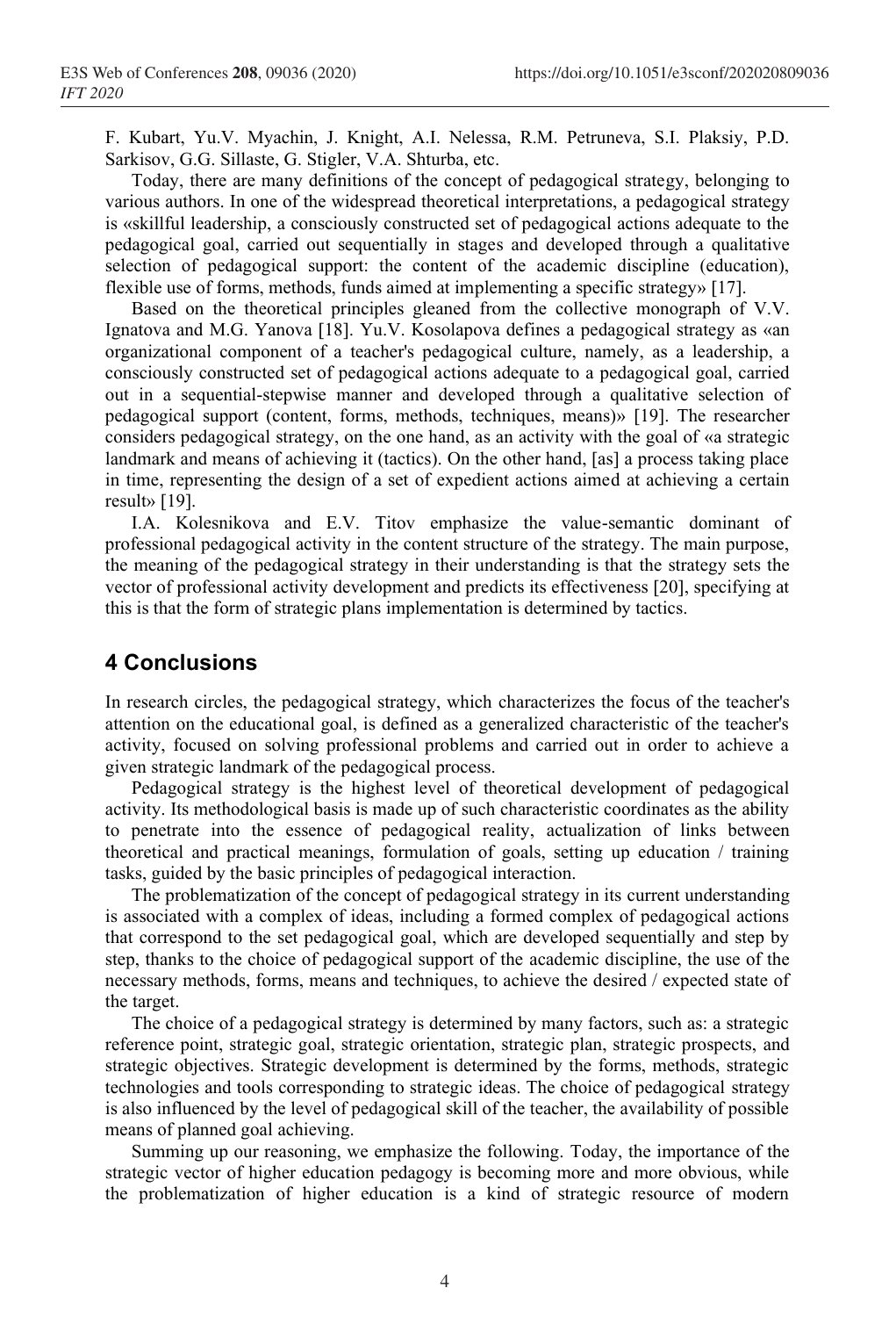F. Kubart, Yu.V. Myachin, J. Knight, A.I. Nelessa, R.M. Petruneva, S.I. Plaksiy, P.D. Sarkisov, G.G. Sillaste, G. Stigler, V.A. Shturba, etc.

Today, there are many definitions of the concept of pedagogical strategy, belonging to various authors. In one of the widespread theoretical interpretations, a pedagogical strategy is «skillful leadership, a consciously constructed set of pedagogical actions adequate to the pedagogical goal, carried out sequentially in stages and developed through a qualitative selection of pedagogical support: the content of the academic discipline (education), flexible use of forms, methods, funds aimed at implementing a specific strategy» [17].

Based on the theoretical principles gleaned from the collective monograph of V.V. Ignatova and M.G. Yanova [18]. Yu.V. Kosolapova defines a pedagogical strategy as «an organizational component of a teacher's pedagogical culture, namely, as a leadership, a consciously constructed set of pedagogical actions adequate to a pedagogical goal, carried out in a sequential-stepwise manner and developed through a qualitative selection of pedagogical support (content, forms, methods, techniques, means)» [19]. The researcher considers pedagogical strategy, on the one hand, as an activity with the goal of «a strategic landmark and means of achieving it (tactics). On the other hand, [as] a process taking place in time, representing the design of a set of expedient actions aimed at achieving a certain result» [19].

I.A. Kolesnikova and E.V. Titov emphasize the value-semantic dominant of professional pedagogical activity in the content structure of the strategy. The main purpose, the meaning of the pedagogical strategy in their understanding is that the strategy sets the vector of professional activity development and predicts its effectiveness [20], specifying at this is that the form of strategic plans implementation is determined by tactics.

#### **4 Conclusions**

In research circles, the pedagogical strategy, which characterizes the focus of the teacher's attention on the educational goal, is defined as a generalized characteristic of the teacher's activity, focused on solving professional problems and carried out in order to achieve a given strategic landmark of the pedagogical process.

Pedagogical strategy is the highest level of theoretical development of pedagogical activity. Its methodological basis is made up of such characteristic coordinates as the ability to penetrate into the essence of pedagogical reality, actualization of links between theoretical and practical meanings, formulation of goals, setting up education / training tasks, guided by the basic principles of pedagogical interaction.

The problematization of the concept of pedagogical strategy in its current understanding is associated with a complex of ideas, including a formed complex of pedagogical actions that correspond to the set pedagogical goal, which are developed sequentially and step by step, thanks to the choice of pedagogical support of the academic discipline, the use of the necessary methods, forms, means and techniques, to achieve the desired / expected state of the target.

The choice of a pedagogical strategy is determined by many factors, such as: a strategic reference point, strategic goal, strategic orientation, strategic plan, strategic prospects, and strategic objectives. Strategic development is determined by the forms, methods, strategic technologies and tools corresponding to strategic ideas. The choice of pedagogical strategy is also influenced by the level of pedagogical skill of the teacher, the availability of possible means of planned goal achieving.

Summing up our reasoning, we emphasize the following. Today, the importance of the strategic vector of higher education pedagogy is becoming more and more obvious, while the problematization of higher education is a kind of strategic resource of modern